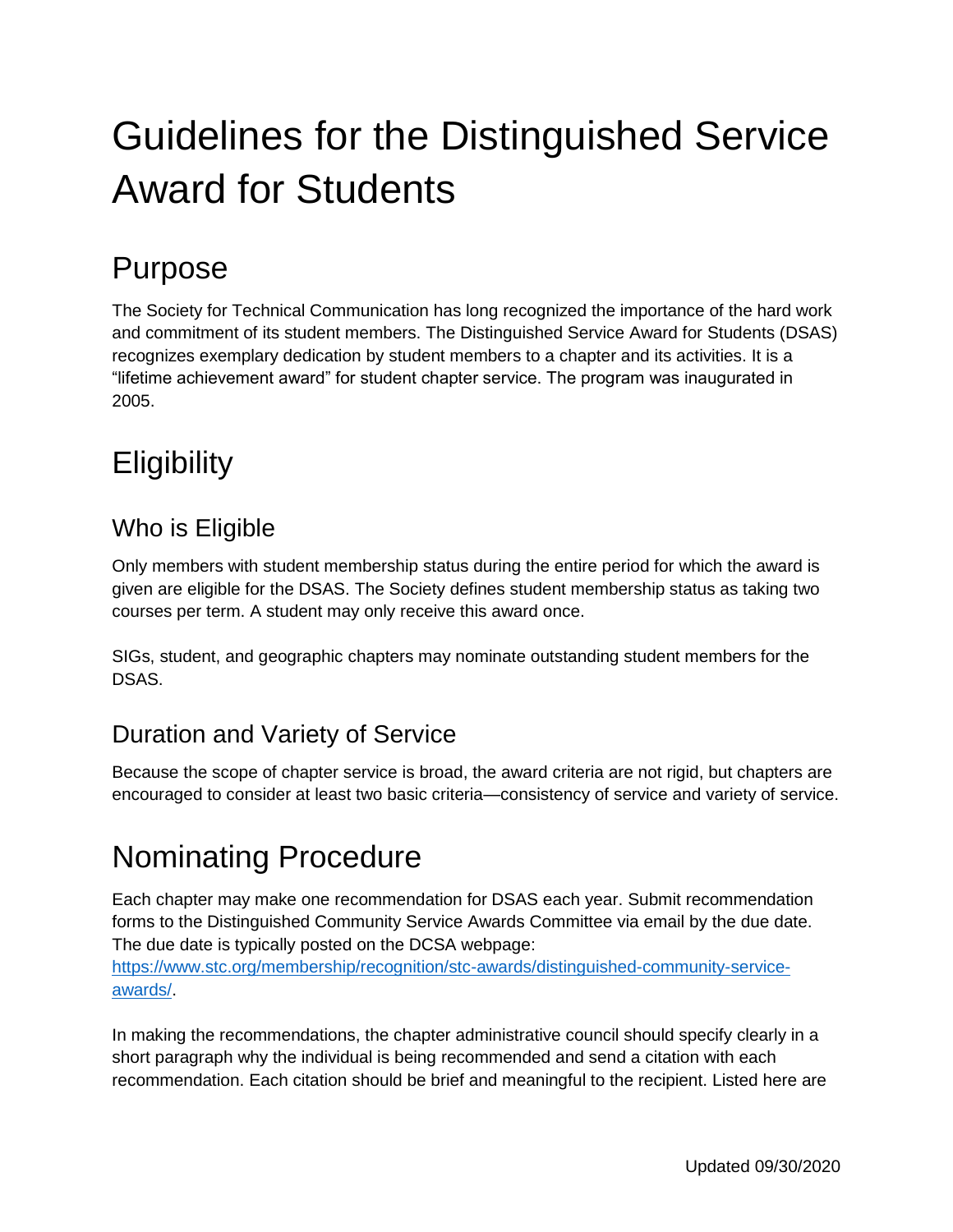# Guidelines for the Distinguished Service Award for Students

### Purpose

The Society for Technical Communication has long recognized the importance of the hard work and commitment of its student members. The Distinguished Service Award for Students (DSAS) recognizes exemplary dedication by student members to a chapter and its activities. It is a "lifetime achievement award" for student chapter service. The program was inaugurated in 2005.

# **Eligibility**

#### Who is Eligible

Only members with student membership status during the entire period for which the award is given are eligible for the DSAS. The Society defines student membership status as taking two courses per term. A student may only receive this award once.

SIGs, student, and geographic chapters may nominate outstanding student members for the DSAS.

#### Duration and Variety of Service

Because the scope of chapter service is broad, the award criteria are not rigid, but chapters are encouraged to consider at least two basic criteria—consistency of service and variety of service.

## Nominating Procedure

Each chapter may make one recommendation for DSAS each year. Submit recommendation forms to the Distinguished Community Service Awards Committee via email by the due date. The due date is typically posted on the DCSA webpage:

[https://www.stc.org/membership/recognition/stc-awards/distinguished-community-service](https://www.stc.org/membership/recognition/stc-awards/distinguished-community-service-awards/)[awards/.](https://www.stc.org/membership/recognition/stc-awards/distinguished-community-service-awards/)

In making the recommendations, the chapter administrative council should specify clearly in a short paragraph why the individual is being recommended and send a citation with each recommendation. Each citation should be brief and meaningful to the recipient. Listed here are